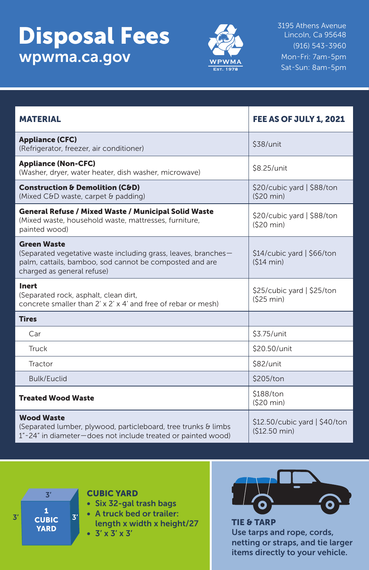## **Disposal Fees** 3195 Athens Avenue wpwma.ca.gov



Lincoln, Ca 95648 (916) 543-3960 Mon-Fri: 7am-5pm Sat-Sun: 8am-5pm

| <b>MATERIAL</b>                                                                                                                                                               | <b>FEE AS OF JULY 1, 2021</b>                   |
|-------------------------------------------------------------------------------------------------------------------------------------------------------------------------------|-------------------------------------------------|
| <b>Appliance (CFC)</b><br>(Refrigerator, freezer, air conditioner)                                                                                                            | \$38/unit                                       |
| <b>Appliance (Non-CFC)</b><br>(Washer, dryer, water heater, dish washer, microwave)                                                                                           | \$8.25/unit                                     |
| <b>Construction &amp; Demolition (C&amp;D)</b><br>(Mixed C&D waste, carpet & padding)                                                                                         | \$20/cubic yard   \$88/ton<br>(S20 min)         |
| <b>General Refuse / Mixed Waste / Municipal Solid Waste</b><br>(Mixed waste, household waste, mattresses, furniture,<br>painted wood)                                         | \$20/cubic yard   \$88/ton<br>(S20 min)         |
| <b>Green Waste</b><br>(Separated vegetative waste including grass, leaves, branches-<br>palm, cattails, bamboo, sod cannot be composted and are<br>charged as general refuse) | \$14/cubic yard   \$66/ton<br>(S14 min)         |
| Inert<br>(Separated rock, asphalt, clean dirt,<br>concrete smaller than 2' x 2' x 4' and free of rebar or mesh)                                                               | \$25/cubic yard   \$25/ton<br>(525 min)         |
| <b>Tires</b>                                                                                                                                                                  |                                                 |
| Car                                                                                                                                                                           | \$3.75/unit                                     |
| <b>Truck</b>                                                                                                                                                                  | \$20.50/unit                                    |
| Tractor                                                                                                                                                                       | \$82/unit                                       |
| <b>Bulk/Euclid</b>                                                                                                                                                            | \$205/ton                                       |
| <b>Treated Wood Waste</b>                                                                                                                                                     | \$188/ton<br>(S20 min)                          |
| <b>Wood Waste</b><br>(Separated lumber, plywood, particleboard, tree trunks & limbs<br>1"-24" in diameter-does not include treated or painted wood)                           | $$12.50/cubic$ yard $ $40/ton$<br>(\$12.50 min) |



## CUBIC YARD

- Six 32-gal trash bags
- A truck bed or trailer:
- length x width x height/27 •  $3' \times 3' \times 3'$



Use tarps and rope, cords, netting or straps, and tie larger items directly to your vehicle.